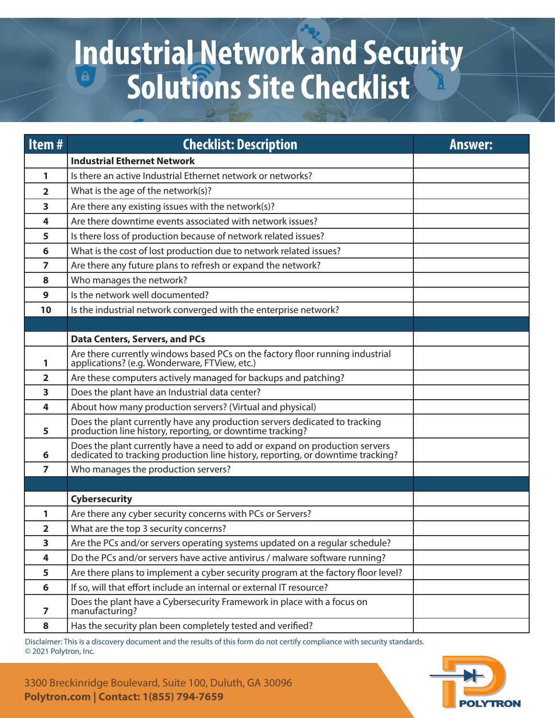## **Industrial Network and Security Solutions Site Checklist**

| Item#          | <b>Checklist: Description</b>                                                                                                                                  | <b>Answer:</b> |
|----------------|----------------------------------------------------------------------------------------------------------------------------------------------------------------|----------------|
|                | <b>Industrial Ethernet Network</b>                                                                                                                             |                |
| 1              | Is there an active Industrial Ethernet network or networks?                                                                                                    |                |
| $\overline{2}$ | What is the age of the network(s)?                                                                                                                             |                |
| 3              | Are there any existing issues with the network(s)?                                                                                                             |                |
| 4              | Are there downtime events associated with network issues?                                                                                                      |                |
| 5              | Is there loss of production because of network related issues?                                                                                                 |                |
| 6              | What is the cost of lost production due to network related issues?                                                                                             |                |
| 7              | Are there any future plans to refresh or expand the network?                                                                                                   |                |
| 8              | Who manages the network?                                                                                                                                       |                |
| 9              | Is the network well documented?                                                                                                                                |                |
| 10             | Is the industrial network converged with the enterprise network?                                                                                               |                |
|                |                                                                                                                                                                |                |
|                | <b>Data Centers, Servers, and PCs</b>                                                                                                                          |                |
| 1              | Are there currently windows based PCs on the factory floor running industrial<br>applications? (e.g. Wonderware, FTView, etc.)                                 |                |
| 2              | Are these computers actively managed for backups and patching?                                                                                                 |                |
| 3              | Does the plant have an Industrial data center?                                                                                                                 |                |
| 4              | About how many production servers? (Virtual and physical)                                                                                                      |                |
| 5              | Does the plant currently have any production servers dedicated to tracking production line history, reporting, or downtime tracking?                           |                |
| 6              | Does the plant currently have a need to add or expand on production servers<br>dedicated to tracking production line history, reporting, or downtime tracking? |                |
| 7              | Who manages the production servers?                                                                                                                            |                |
|                |                                                                                                                                                                |                |
|                | <b>Cybersecurity</b>                                                                                                                                           |                |
| 1              | Are there any cyber security concerns with PCs or Servers?                                                                                                     |                |
| 2              | What are the top 3 security concerns?                                                                                                                          |                |
| 3              | Are the PCs and/or servers operating systems updated on a regular schedule?                                                                                    |                |
| 4              | Do the PCs and/or servers have active antivirus / malware software running?                                                                                    |                |
| 5              | Are there plans to implement a cyber security program at the factory floor level?                                                                              |                |
| 6              | If so, will that effort include an internal or external IT resource?                                                                                           |                |
| 7              | Does the plant have a Cybersecurity Framework in place with a focus on<br>manufacturing?                                                                       |                |
| 8              | Has the security plan been completely tested and verified?                                                                                                     |                |

Disclaimer: This is a discovery document and the results of this form do not certify compliance with security standards. © 2021 Polytron, Inc.